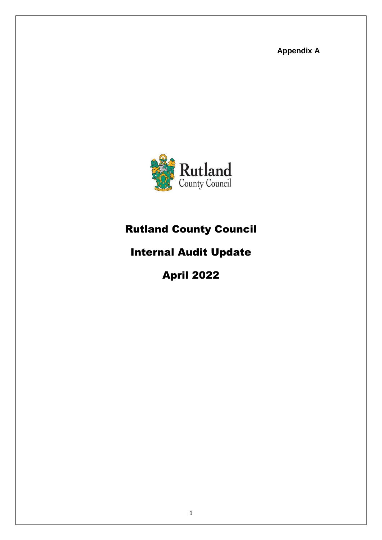**Appendix A**



# Rutland County Council

# Internal Audit Update

# April 2022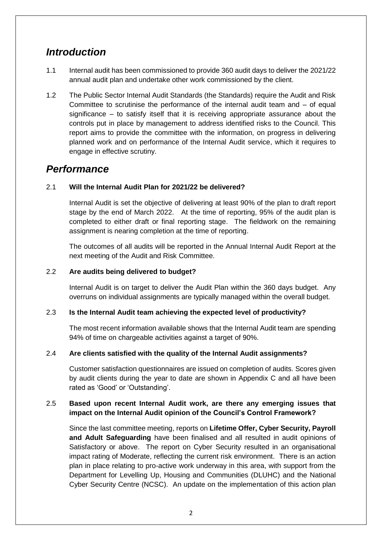## *Introduction*

- 1.1 Internal audit has been commissioned to provide 360 audit days to deliver the 2021/22 annual audit plan and undertake other work commissioned by the client.
- 1.2 The Public Sector Internal Audit Standards (the Standards) require the Audit and Risk Committee to scrutinise the performance of the internal audit team and – of equal significance – to satisfy itself that it is receiving appropriate assurance about the controls put in place by management to address identified risks to the Council. This report aims to provide the committee with the information, on progress in delivering planned work and on performance of the Internal Audit service, which it requires to engage in effective scrutiny.

## *Performance*

#### 2.1 **Will the Internal Audit Plan for 2021/22 be delivered?**

Internal Audit is set the objective of delivering at least 90% of the plan to draft report stage by the end of March 2022. At the time of reporting, 95% of the audit plan is completed to either draft or final reporting stage. The fieldwork on the remaining assignment is nearing completion at the time of reporting.

The outcomes of all audits will be reported in the Annual Internal Audit Report at the next meeting of the Audit and Risk Committee.

#### 2.2 **Are audits being delivered to budget?**

Internal Audit is on target to deliver the Audit Plan within the 360 days budget. Any overruns on individual assignments are typically managed within the overall budget.

#### 2.3 **Is the Internal Audit team achieving the expected level of productivity?**

The most recent information available shows that the Internal Audit team are spending 94% of time on chargeable activities against a target of 90%.

#### 2.4 **Are clients satisfied with the quality of the Internal Audit assignments?**

Customer satisfaction questionnaires are issued on completion of audits. Scores given by audit clients during the year to date are shown in Appendix C and all have been rated as 'Good' or 'Outstanding'.

#### 2.5 **Based upon recent Internal Audit work, are there any emerging issues that impact on the Internal Audit opinion of the Council's Control Framework?**

Since the last committee meeting, reports on **Lifetime Offer, Cyber Security, Payroll and Adult Safeguarding** have been finalised and all resulted in audit opinions of Satisfactory or above. The report on Cyber Security resulted in an organisational impact rating of Moderate, reflecting the current risk environment. There is an action plan in place relating to pro-active work underway in this area, with support from the Department for Levelling Up, Housing and Communities (DLUHC) and the National Cyber Security Centre (NCSC). An update on the implementation of this action plan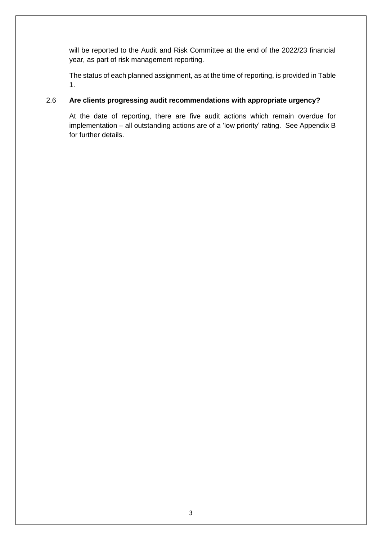will be reported to the Audit and Risk Committee at the end of the 2022/23 financial year, as part of risk management reporting.

The status of each planned assignment, as at the time of reporting, is provided in Table 1.

#### 2.6 **Are clients progressing audit recommendations with appropriate urgency?**

At the date of reporting, there are five audit actions which remain overdue for implementation – all outstanding actions are of a 'low priority' rating. See Appendix B for further details.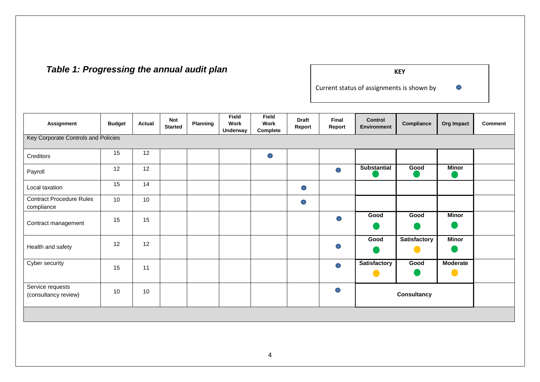## *Table 1: Progressing the annual audit plan*

**KEY**

 $\bullet$ 

Current status of assignments is shown by

| Assignment                                    | <b>Budget</b> | <b>Actual</b> | <b>Not</b><br><b>Started</b> | Planning | Field<br>Work<br>Underway | Field<br><b>Work</b><br>Complete | <b>Draft</b><br>Report | Final<br>Report | <b>Control</b><br><b>Environment</b>  | Compliance                | Org Impact      | <b>Comment</b> |
|-----------------------------------------------|---------------|---------------|------------------------------|----------|---------------------------|----------------------------------|------------------------|-----------------|---------------------------------------|---------------------------|-----------------|----------------|
| Key Corporate Controls and Policies           |               |               |                              |          |                           |                                  |                        |                 |                                       |                           |                 |                |
| Creditors                                     | 15            | 12            |                              |          |                           | $\bullet$                        |                        |                 |                                       |                           |                 |                |
| Payroll                                       | 12            | 12            |                              |          |                           |                                  |                        | $\bullet$       | <b>Substantial</b>                    | Good                      | <b>Minor</b>    |                |
| Local taxation                                | 15            | 14            |                              |          |                           |                                  | $\bullet$              |                 |                                       |                           |                 |                |
| <b>Contract Procedure Rules</b><br>compliance | 10            | 10            |                              |          |                           |                                  | $\bullet$              |                 |                                       |                           |                 |                |
| Contract management                           | 15            | 15            |                              |          |                           |                                  |                        | $\bullet$       | Good                                  | Good                      | <b>Minor</b>    |                |
| Health and safety                             | 12            | 12            |                              |          |                           |                                  |                        | $\bullet$       | Good<br><b>Service Service</b>        | Satisfactory<br>$\bullet$ | <b>Minor</b>    |                |
| Cyber security                                | 15            | 11            |                              |          |                           |                                  |                        | $\bullet$       | <b>Satisfactory</b><br>$\blacksquare$ | Good                      | <b>Moderate</b> |                |
| Service requests<br>(consultancy review)      | 10            | 10            |                              |          |                           |                                  |                        | $\bullet$       | <b>Consultancy</b>                    |                           |                 |                |
|                                               |               |               |                              |          |                           |                                  |                        |                 |                                       |                           |                 |                |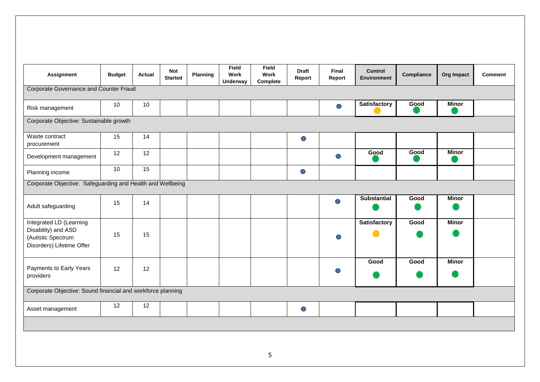| <b>Assignment</b>                                                                                 | <b>Budget</b> | <b>Actual</b>   | <b>Not</b><br><b>Started</b> | Planning | Field<br><b>Work</b><br>Underway | <b>Field</b><br>Work<br>Complete | <b>Draft</b><br>Report | Final<br>Report | Control<br>Environment | Compliance | Org Impact   | <b>Comment</b> |
|---------------------------------------------------------------------------------------------------|---------------|-----------------|------------------------------|----------|----------------------------------|----------------------------------|------------------------|-----------------|------------------------|------------|--------------|----------------|
| <b>Corporate Governance and Counter Fraud</b>                                                     |               |                 |                              |          |                                  |                                  |                        |                 |                        |            |              |                |
| Risk management                                                                                   | 10            | 10              |                              |          |                                  |                                  |                        | $\bullet$       | <b>Satisfactory</b>    | Good       | Minor        |                |
| Corporate Objective: Sustainable growth                                                           |               |                 |                              |          |                                  |                                  |                        |                 |                        |            |              |                |
| Waste contract<br>procurement                                                                     | 15            | 14              |                              |          |                                  |                                  | $\bullet$              |                 |                        |            |              |                |
| Development management                                                                            | 12            | 12              |                              |          |                                  |                                  |                        | $\bullet$       | Good                   | Good       | <b>Minor</b> |                |
| Planning income                                                                                   | 10            | $\overline{15}$ |                              |          |                                  |                                  | $\bullet$              |                 |                        |            |              |                |
| Corporate Objective: Safeguarding and Health and Wellbeing                                        |               |                 |                              |          |                                  |                                  |                        |                 |                        |            |              |                |
| Adult safeguarding                                                                                | 15            | 14              |                              |          |                                  |                                  |                        | $\bullet$       | <b>Substantial</b>     | Good       | <b>Minor</b> |                |
| Integrated LD (Learning<br>Disability) and ASD<br>(Autistic Spectrum<br>Disorders) Lifetime Offer | 15            | 15              |                              |          |                                  |                                  |                        | $\bullet$       | <b>Satisfactory</b>    | Good       | <b>Minor</b> |                |
| Payments to Early Years<br>providers                                                              | 12            | 12              |                              |          |                                  |                                  |                        | $\bullet$       | Good                   | Good       | <b>Minor</b> |                |
| Corporate Objective: Sound financial and workforce planning                                       |               |                 |                              |          |                                  |                                  |                        |                 |                        |            |              |                |
| Asset management                                                                                  | 12            | 12              |                              |          |                                  |                                  | $\bullet$              |                 |                        |            |              |                |
|                                                                                                   |               |                 |                              |          |                                  |                                  |                        |                 |                        |            |              |                |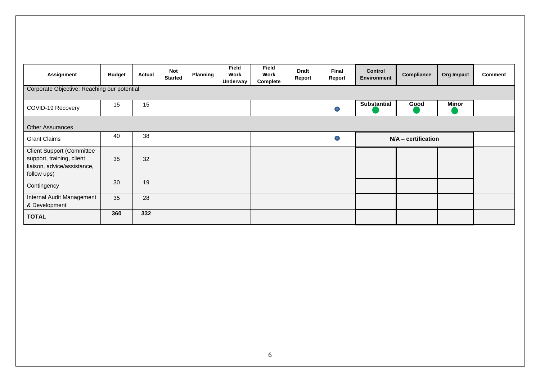| <b>Assignment</b>                                                                                           | <b>Budget</b> | <b>Actual</b> | <b>Not</b><br><b>Started</b> | <b>Planning</b> | <b>Field</b><br>Work<br>Underway | Field<br><b>Work</b><br>Complete | <b>Draft</b><br>Report | Final<br>Report | <b>Control</b><br><b>Environment</b> | Compliance | Org Impact   | Comment |
|-------------------------------------------------------------------------------------------------------------|---------------|---------------|------------------------------|-----------------|----------------------------------|----------------------------------|------------------------|-----------------|--------------------------------------|------------|--------------|---------|
| Corporate Objective: Reaching our potential                                                                 |               |               |                              |                 |                                  |                                  |                        |                 |                                      |            |              |         |
| COVID-19 Recovery                                                                                           | 15            | 15            |                              |                 |                                  |                                  |                        |                 | <b>Substantial</b>                   | Good       | <b>Minor</b> |         |
| <b>Other Assurances</b>                                                                                     |               |               |                              |                 |                                  |                                  |                        |                 |                                      |            |              |         |
| <b>Grant Claims</b>                                                                                         | 40            | 38            |                              |                 |                                  |                                  |                        | $\bullet$       | N/A - certification                  |            |              |         |
| <b>Client Support (Committee</b><br>support, training, client<br>liaison, advice/assistance,<br>follow ups) | 35            | 32            |                              |                 |                                  |                                  |                        |                 |                                      |            |              |         |
| Contingency                                                                                                 | 30            | 19            |                              |                 |                                  |                                  |                        |                 |                                      |            |              |         |
| Internal Audit Management<br>& Development                                                                  | 35            | 28            |                              |                 |                                  |                                  |                        |                 |                                      |            |              |         |
| <b>TOTAL</b>                                                                                                | 360           | 332           |                              |                 |                                  |                                  |                        |                 |                                      |            |              |         |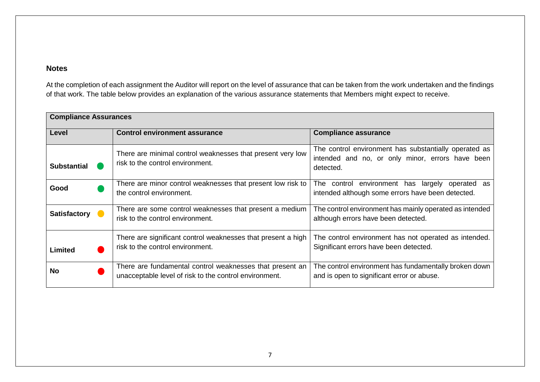#### **Notes**

At the completion of each assignment the Auditor will report on the level of assurance that can be taken from the work undertaken and the findings of that work. The table below provides an explanation of the various assurance statements that Members might expect to receive.

| <b>Compliance Assurances</b> |                                                                                                                    |                                                                                                                        |
|------------------------------|--------------------------------------------------------------------------------------------------------------------|------------------------------------------------------------------------------------------------------------------------|
| Level                        | <b>Control environment assurance</b>                                                                               | <b>Compliance assurance</b>                                                                                            |
| <b>Substantial</b>           | There are minimal control weaknesses that present very low<br>risk to the control environment.                     | The control environment has substantially operated as<br>intended and no, or only minor, errors have been<br>detected. |
| Good                         | There are minor control weaknesses that present low risk to<br>the control environment.                            | The control environment has largely operated<br>as<br>intended although some errors have been detected.                |
| Satisfactory <b>C</b>        | There are some control weaknesses that present a medium<br>risk to the control environment.                        | The control environment has mainly operated as intended<br>although errors have been detected.                         |
| Limited                      | There are significant control weaknesses that present a high<br>risk to the control environment.                   | The control environment has not operated as intended.<br>Significant errors have been detected.                        |
| <b>No</b>                    | There are fundamental control weaknesses that present an<br>unacceptable level of risk to the control environment. | The control environment has fundamentally broken down<br>and is open to significant error or abuse.                    |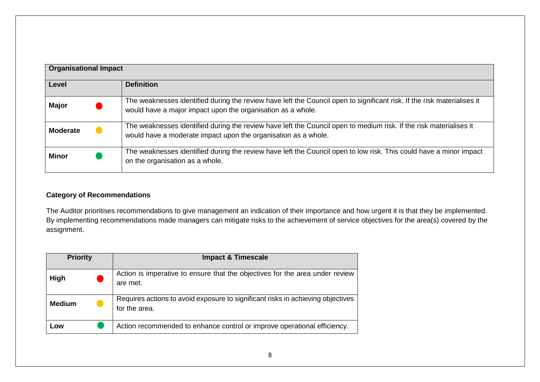| <b>Organisational Impact</b> |                                                                                                                                                                                        |
|------------------------------|----------------------------------------------------------------------------------------------------------------------------------------------------------------------------------------|
| Level                        | <b>Definition</b>                                                                                                                                                                      |
| <b>Major</b>                 | The weaknesses identified during the review have left the Council open to significant risk. If the risk materialises it<br>would have a major impact upon the organisation as a whole. |
| <b>Moderate</b>              | The weaknesses identified during the review have left the Council open to medium risk. If the risk materialises it<br>would have a moderate impact upon the organisation as a whole.   |
| <b>Minor</b>                 | The weaknesses identified during the review have left the Council open to low risk. This could have a minor impact<br>on the organisation as a whole.                                  |

#### **Category of Recommendations**

The Auditor prioritises recommendations to give management an indication of their importance and how urgent it is that they be implemented. By implementing recommendations made managers can mitigate risks to the achievement of service objectives for the area(s) covered by the assignment.

| <b>Priority</b> | <b>Impact &amp; Timescale</b>                                                                    |
|-----------------|--------------------------------------------------------------------------------------------------|
| High            | Action is imperative to ensure that the objectives for the area under review<br>are met.         |
| <b>Medium</b>   | Requires actions to avoid exposure to significant risks in achieving objectives<br>for the area. |
| Low             | Action recommended to enhance control or improve operational efficiency.                         |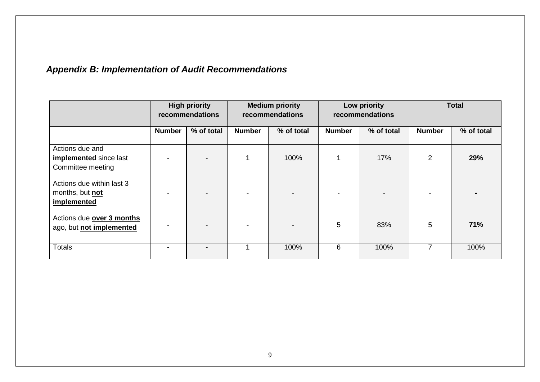## *Appendix B: Implementation of Audit Recommendations*

|                                                                | <b>High priority</b><br>recommendations |            | <b>Medium priority</b><br>recommendations |            | Low priority<br>recommendations |            | <b>Total</b>   |            |
|----------------------------------------------------------------|-----------------------------------------|------------|-------------------------------------------|------------|---------------------------------|------------|----------------|------------|
|                                                                | <b>Number</b>                           | % of total | <b>Number</b>                             | % of total | <b>Number</b>                   | % of total | <b>Number</b>  | % of total |
| Actions due and<br>implemented since last<br>Committee meeting |                                         |            |                                           | 100%       |                                 | 17%        | $\overline{2}$ | 29%        |
| Actions due within last 3<br>months, but not<br>implemented    |                                         |            |                                           |            |                                 |            |                |            |
| Actions due over 3 months<br>ago, but not implemented          |                                         |            |                                           |            | 5                               | 83%        | 5              | 71%        |
| <b>Totals</b>                                                  |                                         |            |                                           | 100%       | 6                               | 100%       |                | 100%       |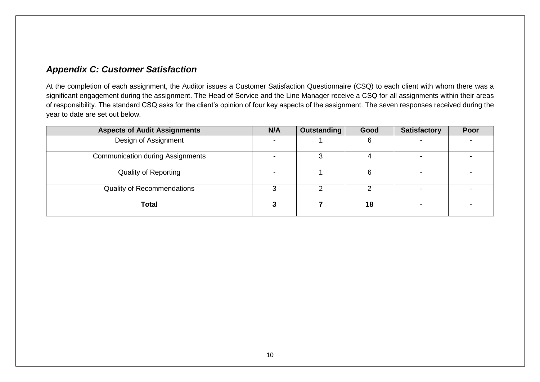### *Appendix C: Customer Satisfaction*

At the completion of each assignment, the Auditor issues a Customer Satisfaction Questionnaire (CSQ) to each client with whom there was a significant engagement during the assignment. The Head of Service and the Line Manager receive a CSQ for all assignments within their areas of responsibility. The standard CSQ asks for the client's opinion of four key aspects of the assignment. The seven responses received during the year to date are set out below.

| <b>Aspects of Audit Assignments</b>     | N/A | Outstanding | Good | <b>Satisfactory</b> | Poor |
|-----------------------------------------|-----|-------------|------|---------------------|------|
| Design of Assignment                    |     |             |      |                     |      |
| <b>Communication during Assignments</b> |     |             |      |                     |      |
| <b>Quality of Reporting</b>             |     |             |      |                     |      |
| <b>Quality of Recommendations</b>       |     |             |      |                     |      |
| Total                                   |     |             | 18   |                     |      |